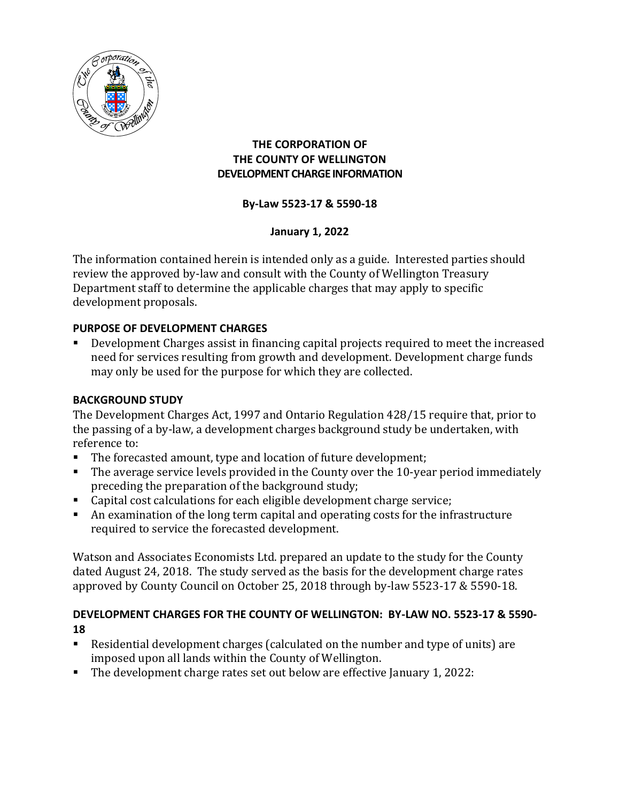

## **THE CORPORATION OF THE COUNTY OF WELLINGTON DEVELOPMENT CHARGE INFORMATION**

## **By-Law 5523-17 & 5590-18**

## **January 1, 2022**

The information contained herein is intended only as a guide. Interested parties should review the approved by-law and consult with the County of Wellington Treasury Department staff to determine the applicable charges that may apply to specific development proposals.

## **PURPOSE OF DEVELOPMENT CHARGES**

 Development Charges assist in financing capital projects required to meet the increased need for services resulting from growth and development. Development charge funds may only be used for the purpose for which they are collected.

## **BACKGROUND STUDY**

The Development Charges Act, 1997 and Ontario Regulation 428/15 require that, prior to the passing of a by-law, a development charges background study be undertaken, with reference to:

- The forecasted amount, type and location of future development;
- The average service levels provided in the County over the 10-year period immediately preceding the preparation of the background study;
- Capital cost calculations for each eligible development charge service;
- An examination of the long term capital and operating costs for the infrastructure required to service the forecasted development.

Watson and Associates Economists Ltd. prepared an update to the study for the County dated August 24, 2018. The study served as the basis for the development charge rates approved by County Council on October 25, 2018 through by-law 5523-17 & 5590-18.

### **DEVELOPMENT CHARGES FOR THE COUNTY OF WELLINGTON: BY-LAW NO. 5523-17 & 5590- 18**

- Residential development charges (calculated on the number and type of units) are imposed upon all lands within the County of Wellington.
- The development charge rates set out below are effective January 1, 2022: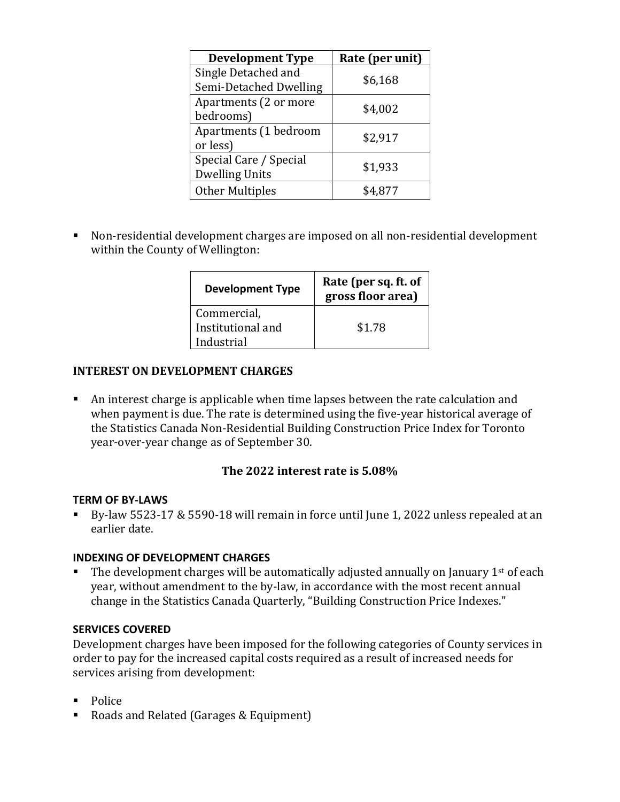| <b>Development Type</b> | Rate (per unit) |
|-------------------------|-----------------|
| Single Detached and     | \$6,168         |
| Semi-Detached Dwelling  |                 |
| Apartments (2 or more   | \$4,002         |
| bedrooms)               |                 |
| Apartments (1 bedroom   | \$2,917         |
| or less)                |                 |
| Special Care / Special  |                 |
| <b>Dwelling Units</b>   | \$1,933         |
| <b>Other Multiples</b>  |                 |

 Non-residential development charges are imposed on all non-residential development within the County of Wellington:

| <b>Development Type</b> | Rate (per sq. ft. of<br>gross floor area) |
|-------------------------|-------------------------------------------|
| Commercial,             |                                           |
| Institutional and       | \$1.78                                    |
| Industrial              |                                           |

### **INTEREST ON DEVELOPMENT CHARGES**

 An interest charge is applicable when time lapses between the rate calculation and when payment is due. The rate is determined using the five-year historical average of the Statistics Canada Non-Residential Building Construction Price Index for Toronto year-over-year change as of September 30.

### **The 2022 interest rate is 5.08%**

#### **TERM OF BY-LAWS**

 By-law 5523-17 & 5590-18 will remain in force until June 1, 2022 unless repealed at an earlier date.

#### **INDEXING OF DEVELOPMENT CHARGES**

The development charges will be automatically adjusted annually on January 1<sup>st</sup> of each year, without amendment to the by-law, in accordance with the most recent annual change in the Statistics Canada Quarterly, "Building Construction Price Indexes."

#### **SERVICES COVERED**

Development charges have been imposed for the following categories of County services in order to pay for the increased capital costs required as a result of increased needs for services arising from development:

- **Police**
- Roads and Related (Garages & Equipment)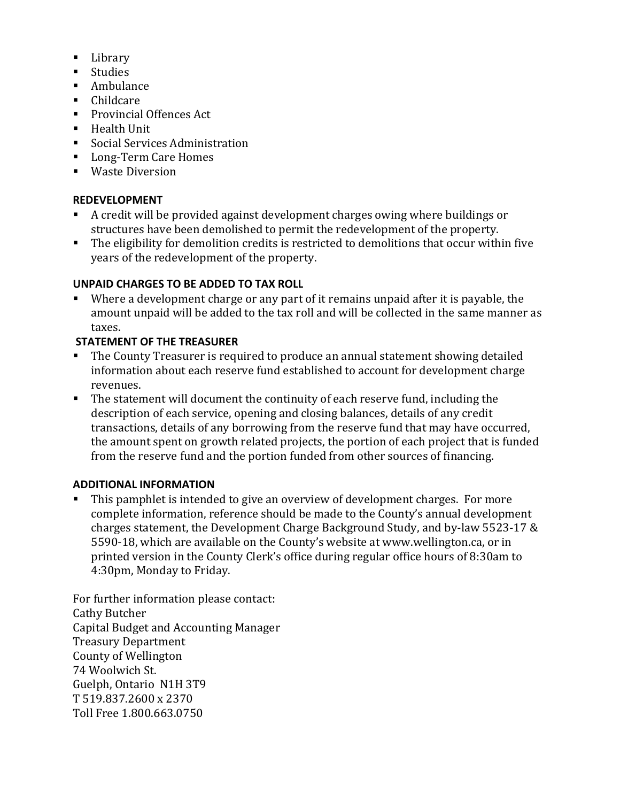- **Library**
- **Studies**
- **Ambulance**
- Childcare
- **Provincial Offences Act**
- **Health Unit**
- **Social Services Administration**
- Long-Term Care Homes
- Waste Diversion

# **REDEVELOPMENT**

- A credit will be provided against development charges owing where buildings or structures have been demolished to permit the redevelopment of the property.
- The eligibility for demolition credits is restricted to demolitions that occur within five years of the redevelopment of the property.

# **UNPAID CHARGES TO BE ADDED TO TAX ROLL**

 Where a development charge or any part of it remains unpaid after it is payable, the amount unpaid will be added to the tax roll and will be collected in the same manner as taxes.

# **STATEMENT OF THE TREASURER**

- The County Treasurer is required to produce an annual statement showing detailed information about each reserve fund established to account for development charge revenues.
- The statement will document the continuity of each reserve fund, including the description of each service, opening and closing balances, details of any credit transactions, details of any borrowing from the reserve fund that may have occurred, the amount spent on growth related projects, the portion of each project that is funded from the reserve fund and the portion funded from other sources of financing.

# **ADDITIONAL INFORMATION**

 This pamphlet is intended to give an overview of development charges. For more complete information, reference should be made to the County's annual development charges statement, the Development Charge Background Study, and by-law 5523-17 & 5590-18, which are available on the County's website at www.wellington.ca, or in printed version in the County Clerk's office during regular office hours of 8:30am to 4:30pm, Monday to Friday.

For further information please contact: Cathy Butcher Capital Budget and Accounting Manager Treasury Department County of Wellington 74 Woolwich St. Guelph, Ontario N1H 3T9 T 519.837.2600 x 2370 Toll Free 1.800.663.0750